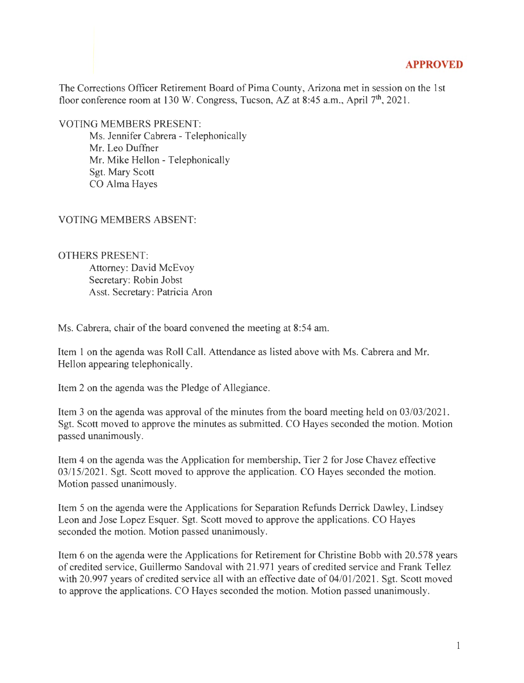## **APPROVED**

The Corrections Officer Retirement Board of Pima County, Arizona met in session on the 1st floor conference room at 130 W. Congress, Tucson, AZ at 8:45 a.m., April 7<sup>th</sup>, 2021.

VOTING MEMBERS PRESENT:

Ms. Jennifer Cabrera - Telephonically Mr. Leo Duffner Mr. Mike Hellon - Telephonically Sgt. Mary Scott CO Alma Hayes

## VOTING MEMBERS ABSENT:

OTHERS PRESENT: Attorney: David McEvoy Secretary: Robin Jobst Asst. Secretary: Patricia Aron

Ms. Cabrera, chair of the board convened the meeting at 8:54 am.

Item 1 on the agenda was Roll Call. Attendance as listed above with Ms. Cabrera and Mr. Hellon appearing telephonically.

Item 2 on the agenda was the Pledge of Allegiance.

Item 3 on the agenda was approval of the minutes from the board meeting held on 03/03/2021. Sgt. Scott moved to approve the minutes as submitted. CO Hayes seconded the motion. Motion passed unanimously.

Item 4 on the agenda was the Application for membership, Tier 2 for Jose Chavez effective 03/15/2021. Sgt. Scott moved to approve the application. CO Hayes seconded the motion. Motion passed unanimously.

Item 5 on the agenda were the Applications for Separation Refunds Derrick Dawley, Lindsey Leon and Jose Lopez Esquer. Sgt. Scott moved to approve the applications. CO Hayes seconded the motion. Motion passed unanimously.

Item 6 on the agenda were the Applications for Retirement for Christine Bobb with 20.578 years of credited service, Guillermo Sandoval with 21.971 years of credited service and Frank Tellez with 20.997 years of credited service all with an effective date of 04/01/2021. Sgt. Scott moved to approve the applications. CO Hayes seconded the motion. Motion passed unanimously.